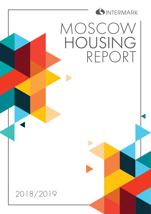

MOSCOW HOUSING REPORT

2018/2019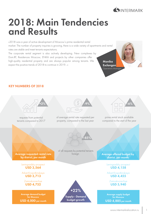

### 2018: Main Tendencies and Results

«2018 was a year of active development of Moscow's prime residential rental

market. The number of property inquiries is growing, there is a wide variety of apartments and rental rates are stable and meet tenants expectations.

The corporate rental segment is also actively developing. New complexes by Dom.RF, Residences Moscow, ENKA and projects by other companies offer high-quality residential property and are always popular among tenants. We expect the positive trends of 2018 to continue in 2019...»

Monika Esclangon Operations Manage



#### KEY NUMBERS OF 2018

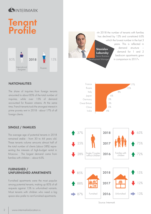

### **Tengnt** Profile



#### **NATIONALITIES**

The share of inquiries from foreign tenants amounted to about 85% of the total number of inquiries, while over 15% of demand accounted for Russian citizens. At the same time, French tenants took the strongest interest in prime prorety rent in 2018 - about 17% of all foreign clients.

#### SINGLE / FAMILIES

The average age of potential tenants in 2018 remained stable - from 30 to 44 years old. These tenants volume amounts almost half of the total number of clients (about 58%) representing the interests of high-budget rental in Moscow. The largest demand came from families with children – about 63%.

#### FURNISHED / UNFURNISHED APARTMENTS

Furnished apartments were the most popular among potential tenants, making up 85% of all requests against 15% to unfurnished variants. Most tenants with children who need a big space also prefer to rent furnished apartments.



Source: Intermark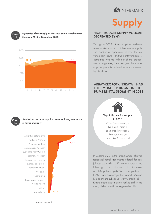

# Supply

#### HIGH - BUDGET SUPPLY VOLUME DECREASED BY 6%

Throughout 2018, Moscow's prime residential rental market showed a stable level of supply. The number of apartments offered for rent varied from -8% to +6% (the monthly indicator is compared with the indicator of the previous month). In general, during last year, the number of prime properties offered for rent decreased by about 6%.

#### ARBAT-KROPOTKINSKAYA HAD THE MOST LISTINGS IN THE PRIME RENTAL SEGMENT IN 2018



Top 5 districts for supply in 2018 Arbat-Kropotkinskaya Tverskaya–Kremlin

Leningradsky Prospekt Zamoskvorechye Lubyanka-Kitay-Gorod

In December 2018, the largest number of prime residential rental apartments offered for rent (almost two thirds – 64%) were located in the following five districts of Moscow: Arbat-Kropotkinskaya (22%), Tverskaya-Kremlin (17%), Zamoskvorechye, Leningradsky Avenue (9% each) and Lubyanka- Kitay-Gorod (7%). Krasnopresnenskaya district ranked sixth in the rating of districts with the largest offer (5%).

Source: Intermark



#### Dynamics of the supply of Moscow prime rental market (January 2017 – December 2018)





#### Analysis of the most popular areas for living in Moscow in terms of supply

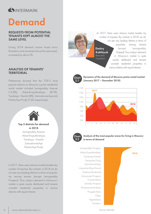

## Demand

#### REQUESTS FROM POTENTIAL TENANTS KEPT ALMOST THE SAME LEVEL

During 2018 demand volume faced minor fluctiations and remained almost the same level, increased by about 2%.

#### ANALYSIS OF TENANTS' **TERRITORIAL**

Preferences showed that the TOP-5 most popular districts on Moscow's prime residential rental market included Leningradsky Avenue (12,8%), Arbat-Kropotkinskaya (8,7%), Tverskaya - Kremlin (8%), Zamoskvorechye and Partiarchiye Prudy (7,6% respectively).



Top 5 districts for demand in 2018 Leningradsky Avenue

Arbat-Kropotkinskaya Tverskaya - Kremlin Zamoskvorechye Partiarchiye Prudy

In 2017, there were obvious market leaders by number of inquiries. By contrast, in 2018 we do not see any leading districts in terms of popularity among tenants (except Leningradsky Prospect). Thus, today's demand in Moscow's market is quite evenly distributed and tenants consider residential properties in various districts with equal interest.

«In 2017, there were obvious market leaders by number of inquiries. By contrast, in 2018 we do not see any leading districts in terms of popularity among tenants (except Leningradsky Prospect). Thus, today's demand in Moscow's market is quite evenly distributed and tenants consider residential properties in various districts with equal interest». **Dmitry**  Kokhtyuk Relocation **Consultant** 

**Chart** 2.1



(January 2017 – December 2018)

Dynamics of the demand of Moscow prime rental market



Analysis of the most popular areas for living in Moscow in terms of demand

Leningradsky Prospect Krasnopresnenskaya Leninsky Prospect Zamoskvorechye Tverskaya-Kremlin Patriarshie Prudy Lubyanka-Kitay-Gorod Kuntsevo Kutuzovsky Prospect Frunzenskaya Taganskaya Prospekt Mira Other Tsvetnoy Boulevard



Source: Intermark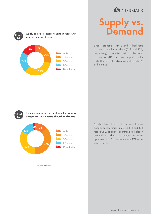

### Supply vs. **Demand**

Supply properties with 2 and 3 bedrooms account for the largest share (31% and 23%, respectively), properties with 1 bedroom account for 20%, multiroom properties – for 19%. The share of studio apartments is only 7% of the market.

Demand analysis of the most popular areas for living in Moscow in terms of number of rooms **Chart** 3.2



Supply analysis of expat housing in Moscow in

20%

Studio 1-Bedroom 2-Bedroom 3-Bedroom 4+-Bedroom

terms of number of rooms

7%

31%

**Chart** 3.1

23%

19%

Source: Intermark

Apartments with 1 or 2 bedrooms were the most popular options for rent in 2018: 37% and 33% respectively. Spacious apartments are also in demand: the share of requests for rental apartments with 3 + bedrooms was 17% of the total requests.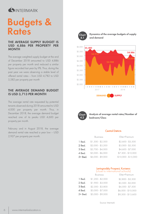

### Budgets & Rates

#### THE AVERAGE SUPPLY BUDGET IS USD 4,886 PER PROPERTY PER **MONTH**

The average weighted supply budget at the end of December 2018 amounted to USD 4,886 per property per month and reduced a similar figure recorded last year by 9%. Thus, during the past year we were observing a stable level of offered rental rates – from USD 4,782 to USD 5,582 per property per month

#### THE AVERAGE DEMAND BUDGET IS USD 3,713 PER MONTH

The average rental rate requested by potential tenants observed during 2018 amounted to USD 4,000 per property per month. Thus, in December 2018, the average demand budget reached one of its peaks USD 4,600 per property per month.

February and in August 2018, the average demand rental rate reached a year low – USD 2,927 per property per month.



Dynamics of the average budgets of supply and demand





Analysis of average rental rates/Number of bedroom/Class

#### Central Districts

|         | <b>Business</b>   | Elite+Premium       |  |  |
|---------|-------------------|---------------------|--|--|
| 1 Bed.  | $$1,300 - $2,500$ | $$2,600 - $3,500$   |  |  |
| 2 Bed.  | $$2,000 - $3,200$ | $$3,000 - $5,500$   |  |  |
| 3 Bed.  | $$2,700 - $4,000$ | $$4,600 - $7,000$   |  |  |
| 4 Bed.  | $$5,000 - $6,000$ | $$7,300 - $10,000$  |  |  |
| 5+ Bed. | \$6,000 - \$9,000 | $$10,000 - $15,000$ |  |  |
|         |                   |                     |  |  |

#### Leningradsky Prospect, Kuntsevo (close to international schools)

|         | <b>Business</b>   | Elite+Premium      |  |  |
|---------|-------------------|--------------------|--|--|
| 1 Bed.  | $$1,200 - $2,000$ | $$2,800 - $3,500$  |  |  |
| 2 Bed.  | $$1,900 - $3,000$ | $$3,500 - $5,000$  |  |  |
| 3 Bed.  | $$2,300 - $3,800$ | $$4,500 - $7,500$  |  |  |
| 4 Bed.  | $$3,000 - $7,000$ | $$6,000 - $10,000$ |  |  |
| 5+ Bed. | $$5,000 - $9,000$ | \$9,500 - \$13,600 |  |  |

Source: Intermark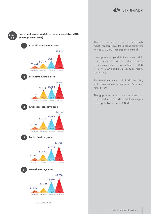

#### Top 5 most expensive districts for prime rentals in 2018 (average rental rates)

Chart 4.3



Source: Intermark

The most expensive district is traditionally Arbat-Kropotkinskaya: the average rental rate here is USD 5,623 per property per month.

Krasnopresnenskaya district ranks second in terms of rental prices for elite residential property and outperforms Tverskaya-Kremlin – USD 4,461 vs. USD 4,181 per property per month, respectively.

Tverskaya-Kremlin now ranks third in the rating of the most expensive districts of Moscow in terms of rent.

The gap between the average rental rate offered by landlords and the rental rate requested by potential tenants is USD 986.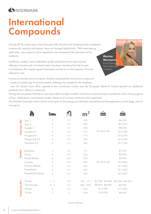### INTERMARK

### **International** Compounds

«During 2018, rental rates in the Pokrovsky Hills, Rosinka and Serebryany Bor residential compounds, popular with expats, have not changed significantly. With rents staying quite static, any scope for price negotiation has remained at the discretion of the landlords.

Landlords, notably, have undertaken quality enhancements to improve their offering to tenants and a furnished option has been introduced for the houses. In Serebryany Bor capital repairs have been carried out on the majority of houses offered for rent.

Marina Morozova

**Consultant** 



In terms of activities and innovations, Rosinka remained the most active compound:

- a special mobile app for access passes ordering was created for the residents;

- new US Dental Care office opened in the Community Center and the European Medical Centre opened an additional paediatrician's office in compound.

Among the amusement facilities a new snow slide has been installed, the tennis courts have been resurfaced, and a lively program of fairs, celebrations, tournaments, master classes and concerts continues to be organized.

Also Rosinka have been and continue to be open to discussing any individual requirements at the preparatory works stage, prior to moving in».

|                 |                     |                            |     |             | 2018              | 2017              |
|-----------------|---------------------|----------------------------|-----|-------------|-------------------|-------------------|
| Pokrovsky Hills | Tver-1              | 3                          | 2,5 | 160         | the same rate     | \$6,000           |
|                 | Tver-3              | $\ensuremath{\mathcal{S}}$ | 2,5 | 209         |                   | \$10,500          |
|                 | Suzdal-1            | $\ensuremath{\mathcal{S}}$ | 2,5 | 200         |                   | \$8,000           |
|                 | Suzdal-2.3          | 3                          | 2,5 | 212         |                   | \$12,000          |
|                 | Novgorod-1          | $\overline{4}$             | 2,5 | 215         |                   | \$12,500          |
|                 | Novgorod-2.3        | $\overline{\mathcal{A}}$   | 2,5 | 220         |                   | \$13,500          |
|                 | Yaroslavl-2.3       | 5                          | 3,5 | 340         |                   | \$17,500          |
|                 |                     |                            |     |             |                   |                   |
| Rosinka         | Executive           | 3                          | 2,5 | 151         | the same rate     | \$7,500           |
|                 | Family              | $\overline{4}$             | 2,5 | 222         |                   | \$9,400           |
|                 | Family Deluxe       | $\overline{\mathcal{A}}$   | 2,5 | 259         |                   | \$9,900           |
|                 | Country             | 5                          | 4,5 | 266         |                   | \$10,200          |
|                 | Country Deluxe      | 5                          | 4,5 | 302         |                   | \$11,000          |
|                 | Presidential        | 5                          | 4,5 | 292         |                   | \$11,000          |
|                 | Presidential Deluxe | 5                          | 4,5 | 326         |                   | \$12,500          |
|                 |                     |                            |     |             |                   |                   |
| Serebryany Bor  | House               | $2 - 3$                    | 2,5 | $150 - 171$ | $$5,700 - $6,000$ | $$5,400 - $6,500$ |
|                 | Town-house          | $4 - 5$                    | 4,5 | $248 - 262$ | $$8,000 - $8,300$ | \$9,000           |
|                 | House               | 5                          | 4,5 | 250         | €15,000           | €15,000           |
|                 | House               | 3                          | 3   | 378         | \$15,000          | \$8,600           |
|                 |                     |                            |     |             |                   |                   |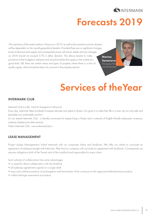

### Forecasts 2019

«The dynamics of the rental market in Moscow in 2019, as well as the overall economic situation, will be dependent on the overall geopolitical situation. Provided there are no significant changes, levels of demand and supply and consequently prices will remain stable and any changes on 2018 should not exceed 5-7% in either direction. This allows tenants to make provisions in their budgets in advance and, should maintain the supply on the market at a good level. Still, there are certain areas and types of property where there is a lack of quality supply, which should be taken into account in the property search».

Marina Semenova Managing Partne and Shareholder



### Services of theYear

#### INTERMARK CLUB

Intermark Club is a life - hack for foreigners in Moscow!

Every day, Intermark helps hundreds of expats relocate and adjust to Russia. Our goal is to make their life in a new city not only safe and bearable, but comfortable and fun!

So we started Intermark Club - a friendly community for expats living in Russia and a network of English-friendly restaurants, museums, cinemas, theatres and other services.

Follow Intermark Club - www.intermarkclub.ru

#### LEASE MANAGEMENT

Project «Lease Management» linked Intermark with our corporate clients and landlords. We offer our clients to conclude an agreement of sublease straight with Intermark. After that our company will conclude an agreement with landlords. Consequently we assume obligations both of the Tenant and of the Landlord and responsible for every client.

Such scheme of collaboration has some advantages:

- no need for direct collaboration with the landlord:
- all sublease agreements signed on a single draft;
- easy and unified procedure of prolongation and termination of the contracts on the approved beforehand procedure;
- unified damage assessment procedure.